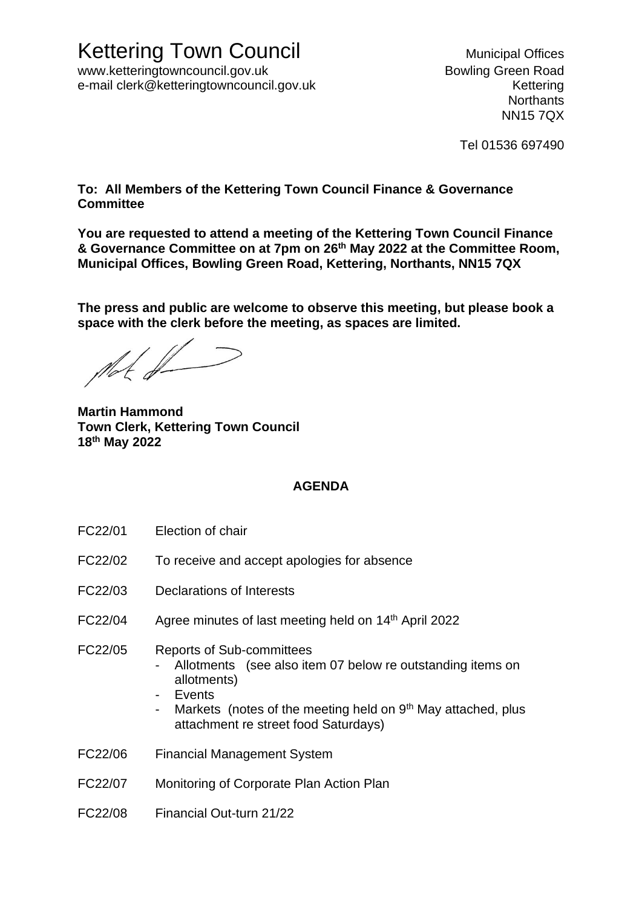www.ketteringtowncouncil.gov.uk but a state of the Bowling Green Road e-mail clerk@ketteringtowncouncil.gov.uk e-mail clerk@kettering

**Northants** NN15 7QX

Tel 01536 697490

**To: All Members of the Kettering Town Council Finance & Governance Committee**

**You are requested to attend a meeting of the Kettering Town Council Finance & Governance Committee on at 7pm on 26 th May 2022 at the Committee Room, Municipal Offices, Bowling Green Road, Kettering, Northants, NN15 7QX**

**The press and public are welcome to observe this meeting, but please book a space with the clerk before the meeting, as spaces are limited.** 

 $\mathbb{M}$ 

**Martin Hammond Town Clerk, Kettering Town Council 18th May 2022**

## **AGENDA**

- FC22/01 Election of chair
- FC22/02 To receive and accept apologies for absence
- FC22/03 Declarations of Interests
- FC22/04 Agree minutes of last meeting held on 14th April 2022
- FC22/05 Reports of Sub-committees
	- Allotments (see also item 07 below re outstanding items on allotments)
	- Events
	- Markets (notes of the meeting held on 9<sup>th</sup> May attached, plus attachment re street food Saturdays)
- FC22/06 Financial Management System
- FC22/07 Monitoring of Corporate Plan Action Plan
- FC22/08 Financial Out-turn 21/22